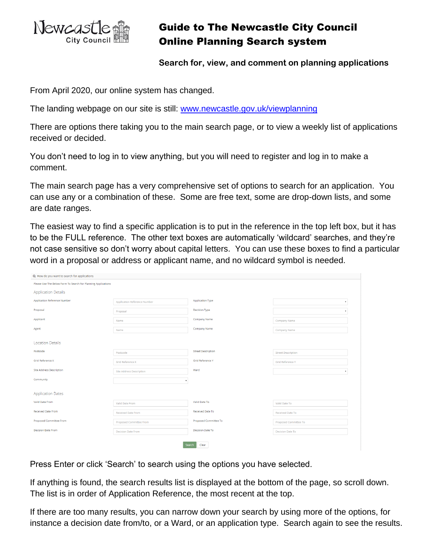

## Guide to The Newcastle City Council Online Planning Search system

**Search for, view, and comment on planning applications**

From April 2020, our online system has changed.

The landing webpage on our site is still: [www.newcastle.gov.uk/viewplanning](http://www.newcastle.gov.uk/viewplanning)

There are options there taking you to the main search page, or to view a weekly list of applications received or decided.

You don't need to log in to view anything, but you will need to register and log in to make a comment.

The main search page has a very comprehensive set of options to search for an application. You can use any or a combination of these. Some are free text, some are drop-down lists, and some are date ranges.

The easiest way to find a specific application is to put in the reference in the top left box, but it has to be the FULL reference. The other text boxes are automatically 'wildcard' searches, and they're not case sensitive so don't worry about capital letters. You can use these boxes to find a particular word in a proposal or address or applicant name, and no wildcard symbol is needed.

| Q How do you want to search for applications                  |                                     |                           |                           |  |  |  |  |  |  |
|---------------------------------------------------------------|-------------------------------------|---------------------------|---------------------------|--|--|--|--|--|--|
| Please Use The Below Form To Search For Planning Applications |                                     |                           |                           |  |  |  |  |  |  |
| <b>Application Details</b>                                    |                                     |                           |                           |  |  |  |  |  |  |
| Application Reference Number                                  | <b>Application Reference Number</b> | <b>Application Type</b>   |                           |  |  |  |  |  |  |
| Proposal                                                      | Proposal                            | <b>Decision Type</b>      |                           |  |  |  |  |  |  |
| Applicant                                                     | Name                                | Company Name              | Company Name              |  |  |  |  |  |  |
| Agent                                                         | Name                                | Company Name              | Company Name              |  |  |  |  |  |  |
| <b>Location Details</b>                                       |                                     |                           |                           |  |  |  |  |  |  |
| Postcode                                                      | Postcode                            | <b>Street Description</b> | <b>Street Description</b> |  |  |  |  |  |  |
| Grid Reference X                                              | <b>Grid Reference X</b>             | Grid Reference Y          | <b>Grid Reference Y</b>   |  |  |  |  |  |  |
| <b>Site Address Description</b>                               | <b>Site Address Description</b>     | Ward                      |                           |  |  |  |  |  |  |
| Community                                                     |                                     |                           |                           |  |  |  |  |  |  |
| <b>Application Dates</b>                                      |                                     |                           |                           |  |  |  |  |  |  |
| Valid Date From                                               | Valid Date From                     | Valid Date To             | Valid Date To             |  |  |  |  |  |  |
| <b>Received Date From</b>                                     | <b>Received Date From</b>           | Received Date To          | Received Date To          |  |  |  |  |  |  |
| Proposed Committee From                                       | Proposed Committee From             | Proposed Committee To     | Proposed Committee To     |  |  |  |  |  |  |
| <b>Decision Date From</b>                                     | <b>Decision Date From</b>           | Decision Date To          | <b>Decision Date To</b>   |  |  |  |  |  |  |
| Clear<br>Search                                               |                                     |                           |                           |  |  |  |  |  |  |

Press Enter or click 'Search' to search using the options you have selected.

If anything is found, the search results list is displayed at the bottom of the page, so scroll down. The list is in order of Application Reference, the most recent at the top.

If there are too many results, you can narrow down your search by using more of the options, for instance a decision date from/to, or a Ward, or an application type. Search again to see the results.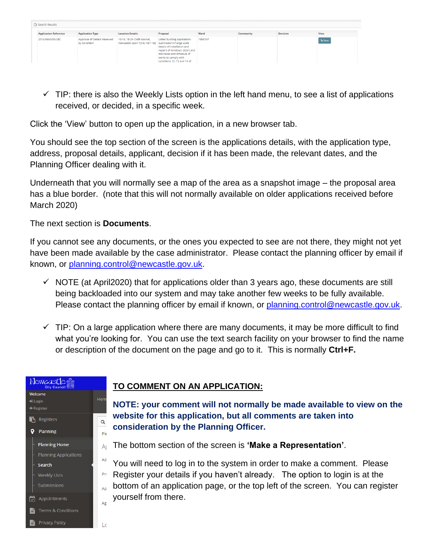| <sup>1</sup> Search Results  |                                              |                                                                                      |                                                                                                                                                                                   |        |           |                 |                             |  |  |  |
|------------------------------|----------------------------------------------|--------------------------------------------------------------------------------------|-----------------------------------------------------------------------------------------------------------------------------------------------------------------------------------|--------|-----------|-----------------|-----------------------------|--|--|--|
| <b>Application Reference</b> | <b>Application Type</b>                      | <b>Location Details</b>                                                              | Proposal                                                                                                                                                                          | Ward   | Community | <b>Decision</b> | View                        |  |  |  |
| 2016/0660/08/LBC             | Approval of Details Reserved<br>by Condition | 10-16, 18-24 Cloth Market.<br>Newcastle Upon Tyne, NE1 1EE Submission of large scale | Listed Building Application:<br>details of installation and<br>repairs of windows, doors and<br>staircases and schedule of<br>works to comply with<br>conditions 12, 13 and 14 of | 18MONT |           |                 | % View<br><b>STATISTICS</b> |  |  |  |

 $\checkmark$  TIP: there is also the Weekly Lists option in the left hand menu, to see a list of applications received, or decided, in a specific week.

Click the 'View' button to open up the application, in a new browser tab.

You should see the top section of the screen is the applications details, with the application type, address, proposal details, applicant, decision if it has been made, the relevant dates, and the Planning Officer dealing with it.

Underneath that you will normally see a map of the area as a snapshot image – the proposal area has a blue border. (note that this will not normally available on older applications received before March 2020)

The next section is **Documents**.

If you cannot see any documents, or the ones you expected to see are not there, they might not yet have been made available by the case administrator. Please contact the planning officer by email if known, or [planning.control@newcastle.gov.uk.](mailto:planning.control@newcastle.gov.uk)

- $\checkmark$  NOTE (at April2020) that for applications older than 3 years ago, these documents are still being backloaded into our system and may take another few weeks to be fully available. Please contact the planning officer by email if known, or planning control@newcastle.gov.uk.
- $\checkmark$  TIP: On a large application where there are many documents, it may be more difficult to find what you're looking for. You can use the text search facility on your browser to find the name or description of the document on the page and go to it. This is normally **Ctrl+F.**



## **TO COMMENT ON AN APPLICATION:**

**NOTE: your comment will not normally be made available to view on the website for this application, but all comments are taken into consideration by the Planning Officer.**

The bottom section of the screen is **'Make a Representation'**.

You will need to log in to the system in order to make a comment. Please Register your details if you haven't already. The option to login is at the bottom of an application page, or the top left of the screen. You can register yourself from there.